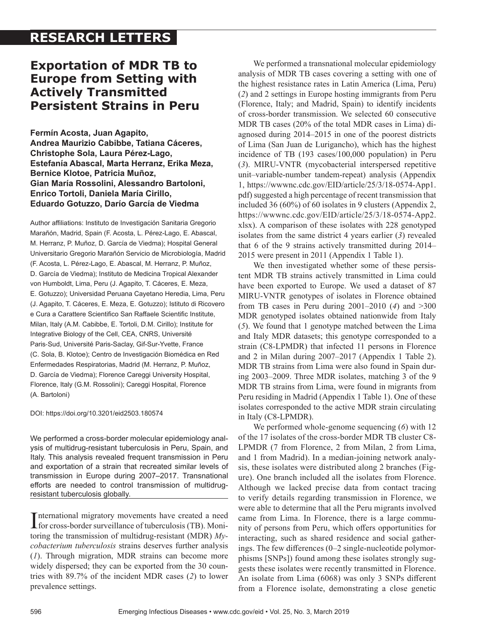# **RESEARCH LETTERS**

## **Exportation of MDR TB to Europe from Setting with Actively Transmitted Persistent Strains in Peru**

**Fermín Acosta, Juan Agapito, Andrea Maurizio Cabibbe, Tatiana Cáceres, Christophe Sola, Laura Pérez-Lago, Estefanía Abascal, Marta Herranz, Erika Meza, Bernice Klotoe, Patricia Muñoz, Gian María Rossolini, Alessandro Bartoloni, Enrico Tortoli, Daniela María Cirillo, Eduardo Gotuzzo, Darío García de Viedma**

Author affiliations: Instituto de Investigación Sanitaria Gregorio Marañón, Madrid, Spain (F. Acosta, L. Pérez-Lago, E. Abascal, M. Herranz, P. Muñoz, D. García de Viedma); Hospital General Universitario Gregorio Marañón Servicio de Microbiología, Madrid (F. Acosta, L. Pérez-Lago, E. Abascal, M. Herranz, P. Muñoz, D. García de Viedma); Instituto de Medicina Tropical Alexander von Humboldt, Lima, Peru (J. Agapito, T. Cáceres, E. Meza, E. Gotuzzo); Universidad Peruana Cayetano Heredia, Lima, Peru (J. Agapito, T. Cáceres, E. Meza, E. Gotuzzo); Istituto di Ricovero e Cura a Carattere Scientifico San Raffaele Scientific Institute, Milan, Italy (A.M. Cabibbe, E. Tortoli, D.M. Cirillo); Institute for Integrative Biology of the Cell, CEA, CNRS, Université Paris‐Sud, Université Paris-Saclay, Gif-Sur-Yvette, France (C. Sola, B. Klotoe); Centro de Investigación Biomédica en Red Enfermedades Respiratorias, Madrid (M. Herranz, P. Muñoz, D. García de Viedma); Florence Careggi University Hospital, Florence, Italy (G.M. Rossolini); Careggi Hospital, Florence (A. Bartoloni)

DOI: https://doi.org/10.3201/eid2503.180574

We performed a cross-border molecular epidemiology analysis of multidrug-resistant tuberculosis in Peru, Spain, and Italy. This analysis revealed frequent transmission in Peru and exportation of a strain that recreated similar levels of transmission in Europe during 2007–2017. Transnational efforts are needed to control transmission of multidrugresistant tuberculosis globally.

International migratory movements have created a need<br>for cross-border surveillance of tuberculosis (TB). Moninternational migratory movements have created a need toring the transmission of multidrug-resistant (MDR) *Mycobacterium tuberculosis* strains deserves further analysis (*1*). Through migration, MDR strains can become more widely dispersed; they can be exported from the 30 countries with 89.7% of the incident MDR cases (*2*) to lower prevalence settings.

We performed a transnational molecular epidemiology analysis of MDR TB cases covering a setting with one of the highest resistance rates in Latin America (Lima, Peru) (*2*) and 2 settings in Europe hosting immigrants from Peru (Florence, Italy; and Madrid, Spain) to identify incidents of cross-border transmission. We selected 60 consecutive MDR TB cases (20% of the total MDR cases in Lima) diagnosed during 2014–2015 in one of the poorest districts of Lima (San Juan de Lurigancho), which has the highest incidence of TB (193 cases/100,000 population) in Peru (*3*). MIRU-VNTR (mycobacterial interspersed repetitive unit–variable-number tandem-repeat) analysis (Appendix 1, https://wwwnc.cdc.gov/EID/article/25/3/18-0574-App1. pdf) suggested a high percentage of recent transmission that included 36 (60%) of 60 isolates in 9 clusters (Appendix 2, https://wwwnc.cdc.gov/EID/article/25/3/18-0574-App2. xlsx). A comparison of these isolates with 228 genotyped isolates from the same district 4 years earlier (*3*) revealed that 6 of the 9 strains actively transmitted during 2014– 2015 were present in 2011 (Appendix 1 Table 1).

We then investigated whether some of these persistent MDR TB strains actively transmitted in Lima could have been exported to Europe. We used a dataset of 87 MIRU-VNTR genotypes of isolates in Florence obtained from TB cases in Peru during 2001–2010 (*4*) and >300 MDR genotyped isolates obtained nationwide from Italy (*5*). We found that 1 genotype matched between the Lima and Italy MDR datasets; this genotype corresponded to a strain (C8-LPMDR) that infected 11 persons in Florence and 2 in Milan during 2007–2017 (Appendix 1 Table 2). MDR TB strains from Lima were also found in Spain during 2003–2009. Three MDR isolates, matching 3 of the 9 MDR TB strains from Lima, were found in migrants from Peru residing in Madrid (Appendix 1 Table 1). One of these isolates corresponded to the active MDR strain circulating in Italy (C8-LPMDR).

We performed whole-genome sequencing (*6*) with 12 of the 17 isolates of the cross-border MDR TB cluster C8- LPMDR (7 from Florence, 2 from Milan, 2 from Lima, and 1 from Madrid). In a median-joining network analysis, these isolates were distributed along 2 branches (Figure). One branch included all the isolates from Florence. Although we lacked precise data from contact tracing to verify details regarding transmission in Florence, we were able to determine that all the Peru migrants involved came from Lima. In Florence, there is a large community of persons from Peru, which offers opportunities for interacting, such as shared residence and social gatherings. The few differences (0–2 single-nucleotide polymorphisms [SNPs]) found among these isolates strongly suggests these isolates were recently transmitted in Florence. An isolate from Lima (6068) was only 3 SNPs different from a Florence isolate, demonstrating a close genetic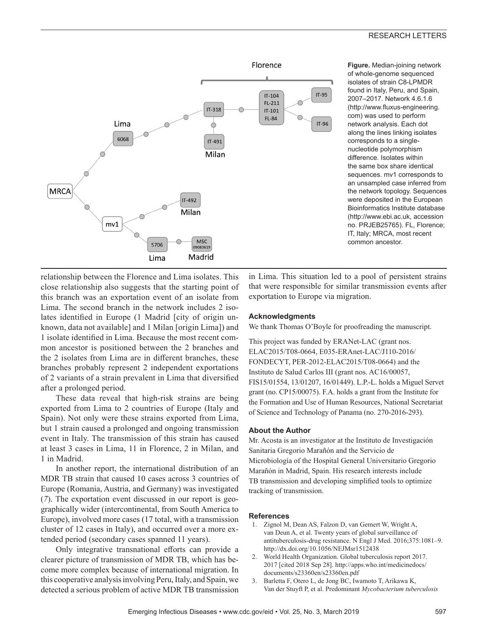### RESEARCH LETTERS



**Figure.** Median-joining network of whole-genome sequenced isolates of strain C8-LPMDR found in Italy, Peru, and Spain, 2007–2017. Network 4.6.1.6 (http://www.fluxus-engineering. com) was used to perform network analysis. Each dot along the lines linking isolates corresponds to a singlenucleotide polymorphism difference. Isolates within the same box share identical sequences. mv1 corresponds to an unsampled case inferred from the network topology. Sequences were deposited in the European Bioinformatics Institute database (http://www.ebi.ac.uk, accession no. PRJEB25765). FL, Florence; IT, Italy; MRCA, most recent common ancestor.

relationship between the Florence and Lima isolates. This close relationship also suggests that the starting point of this branch was an exportation event of an isolate from Lima. The second branch in the network includes 2 isolates identified in Europe (1 Madrid [city of origin unknown, data not available] and 1 Milan [origin Lima]) and 1 isolate identified in Lima. Because the most recent common ancestor is positioned between the 2 branches and the 2 isolates from Lima are in different branches, these branches probably represent 2 independent exportations of 2 variants of a strain prevalent in Lima that diversified after a prolonged period.

These data reveal that high-risk strains are being exported from Lima to 2 countries of Europe (Italy and Spain). Not only were these strains exported from Lima, but 1 strain caused a prolonged and ongoing transmission event in Italy. The transmission of this strain has caused at least 3 cases in Lima, 11 in Florence, 2 in Milan, and 1 in Madrid.

In another report, the international distribution of an MDR TB strain that caused 10 cases across 3 countries of Europe (Romania, Austria, and Germany) was investigated (*7*). The exportation event discussed in our report is geographically wider (intercontinental, from South America to Europe), involved more cases (17 total, with a transmission cluster of 12 cases in Italy), and occurred over a more extended period (secondary cases spanned 11 years).

Only integrative transnational efforts can provide a clearer picture of transmission of MDR TB, which has become more complex because of international migration. In this cooperative analysis involving Peru, Italy, and Spain, we detected a serious problem of active MDR TB transmission

in Lima. This situation led to a pool of persistent strains that were responsible for similar transmission events after exportation to Europe via migration.

### **Acknowledgments**

We thank Thomas O'Boyle for proofreading the manuscript.

This project was funded by ERANet-LAC (grant nos. ELAC2015/T08-0664, E035-ERAnet-LAC/J110-2016/ FONDECYT, PER-2012-ELAC2015/T08-0664) and the Instituto de Salud Carlos III (grant nos. AC16/00057, FIS15/01554, 13/01207, 16/01449). L.P.-L. holds a Miguel Servet grant (no. CP15/00075). F.A. holds a grant from the Institute for the Formation and Use of Human Resources, National Secretariat of Science and Technology of Panama (no. 270-2016-293).

### **About the Author**

Mr. Acosta is an investigator at the Instituto de Investigación Sanitaria Gregorio Marañón and the Servicio de Microbiología of the Hospital General Universitario Gregorio Marañón in Madrid, Spain. His research interests include TB transmission and developing simplified tools to optimize tracking of transmission.

#### **References**

- 1. Zignol M, Dean AS, Falzon D, van Gemert W, Wright A, van Deun A, et al. Twenty years of global surveillance of antituberculosis-drug resistance. N Engl J Med. 2016;375:1081–9. http://dx.doi.org/10.1056/NEJMsr1512438
- 2. World Health Organization. Global tuberculosis report 2017. 2017 [cited 2018 Sep 28]. http://apps.who.int/medicinedocs/ documents/s23360en/s23360en.pdf
- 3. Barletta F, Otero L, de Jong BC, Iwamoto T, Arikawa K, Van der Stuyft P, et al. Predominant *Mycobacterium tuberculosis*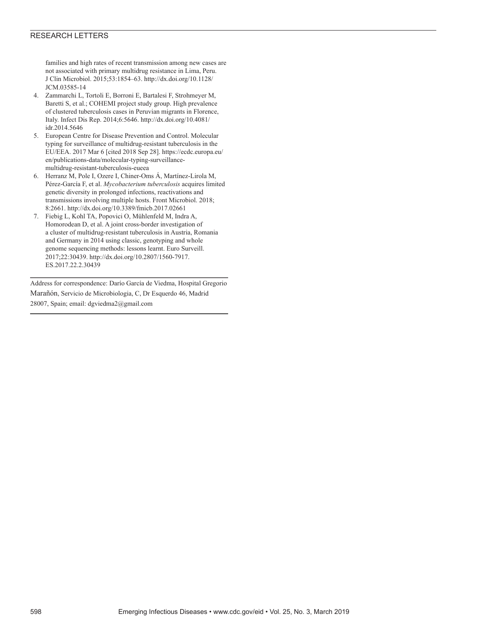### RESEARCH LETTERS

families and high rates of recent transmission among new cases are not associated with primary multidrug resistance in Lima, Peru. J Clin Microbiol. 2015;53:1854–63. http://dx.doi.org/10.1128/ JCM.03585-14

- 4. Zammarchi L, Tortoli E, Borroni E, Bartalesi F, Strohmeyer M, Baretti S, et al.; COHEMI project study group. High prevalence of clustered tuberculosis cases in Peruvian migrants in Florence, Italy. Infect Dis Rep. 2014;6:5646. http://dx.doi.org/10.4081/ idr.2014.5646
- 5. European Centre for Disease Prevention and Control. Molecular typing for surveillance of multidrug-resistant tuberculosis in the EU/EEA. 2017 Mar 6 [cited 2018 Sep 28]. https://ecdc.europa.eu/ en/publications-data/molecular-typing-surveillancemultidrug-resistant-tuberculosis-eueea
- 6. Herranz M, Pole I, Ozere I, Chiner-Oms Á, Martínez-Lirola M, Pérez-García F, et al. *Mycobacterium tuberculosis* acquires limited genetic diversity in prolonged infections, reactivations and transmissions involving multiple hosts. Front Microbiol. 2018; 8:2661. http://dx.doi.org/10.3389/fmicb.2017.02661
- 7. Fiebig L, Kohl TA, Popovici O, Mühlenfeld M, Indra A, Homorodean D, et al. A joint cross-border investigation of a cluster of multidrug-resistant tuberculosis in Austria, Romania and Germany in 2014 using classic, genotyping and whole genome sequencing methods: lessons learnt. Euro Surveill. 2017;22:30439. http://dx.doi.org/10.2807/1560-7917. ES.2017.22.2.30439

Address for correspondence: Darío García de Viedma, Hospital Gregorio Marañón, Servicio de Microbiologia, C, Dr Esquerdo 46, Madrid 28007, Spain; email: dgviedma2@gmail.com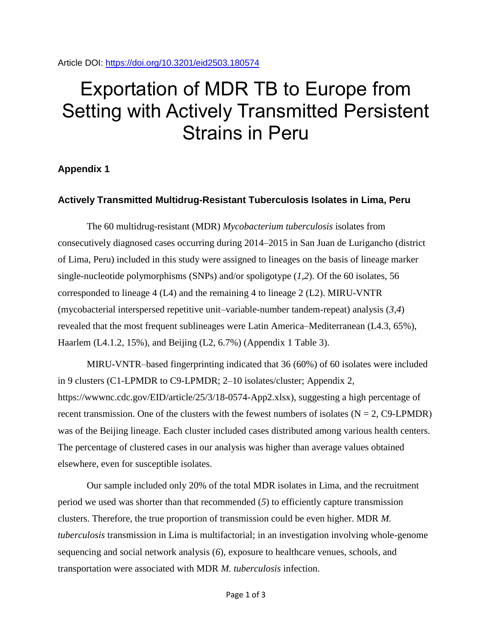Article DOI:<https://doi.org/10.3201/eid2503.180574>

# Exportation of MDR TB to Europe from Setting with Actively Transmitted Persistent Strains in Peru

## **Appendix 1**

## **Actively Transmitted Multidrug-Resistant Tuberculosis Isolates in Lima, Peru**

The 60 multidrug-resistant (MDR) *Mycobacterium tuberculosis* isolates from consecutively diagnosed cases occurring during 2014–2015 in San Juan de Lurigancho (district of Lima, Peru) included in this study were assigned to lineages on the basis of lineage marker single-nucleotide polymorphisms (SNPs) and/or spoligotype (*1*,*2*). Of the 60 isolates, 56 corresponded to lineage 4 (L4) and the remaining 4 to lineage 2 (L2). MIRU-VNTR (mycobacterial interspersed repetitive unit–variable-number tandem-repeat) analysis (*3*,*4*) revealed that the most frequent sublineages were Latin America–Mediterranean (L4.3, 65%), Haarlem (LA.1.2, 15%), and Beijing (L2, 6.7%) (Appendix 1 Table 3).

MIRU-VNTR–based fingerprinting indicated that 36 (60%) of 60 isolates were included in 9 clusters (C1-LPMDR to C9-LPMDR; 2–10 isolates/cluster; Appendix 2, https://wwwnc.cdc.gov/EID/article/25/3/18-0574-App2.xlsx), suggesting a high percentage of recent transmission. One of the clusters with the fewest numbers of isolates  $(N = 2, C9$ -LPMDR) was of the Beijing lineage. Each cluster included cases distributed among various health centers. The percentage of clustered cases in our analysis was higher than average values obtained elsewhere, even for susceptible isolates.

Our sample included only 20% of the total MDR isolates in Lima, and the recruitment period we used was shorter than that recommended (*5*) to efficiently capture transmission clusters. Therefore, the true proportion of transmission could be even higher. MDR *M. tuberculosis* transmission in Lima is multifactorial; in an investigation involving whole-genome sequencing and social network analysis (*6*), exposure to healthcare venues, schools, and transportation were associated with MDR *M. tuberculosis* infection.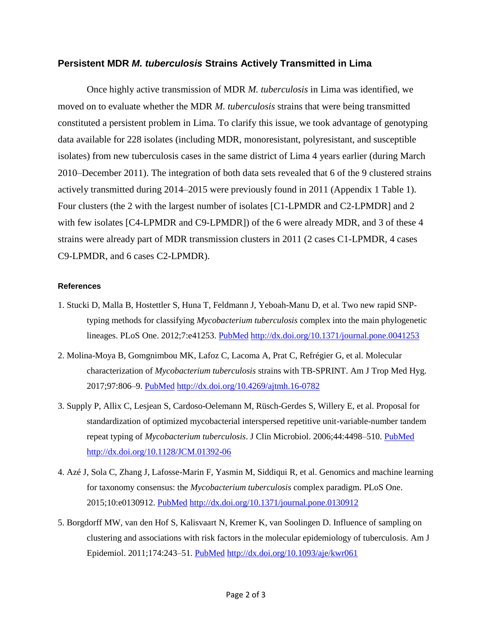## **Persistent MDR** *M. tuberculosis* **Strains Actively Transmitted in Lima**

Once highly active transmission of MDR *M. tuberculosis* in Lima was identified, we moved on to evaluate whether the MDR *M. tuberculosis* strains that were being transmitted constituted a persistent problem in Lima. To clarify this issue, we took advantage of genotyping data available for 228 isolates (including MDR, monoresistant, polyresistant, and susceptible isolates) from new tuberculosis cases in the same district of Lima 4 years earlier (during March 2010–December 2011). The integration of both data sets revealed that 6 of the 9 clustered strains actively transmitted during 2014–2015 were previously found in 2011 (Appendix 1 Table 1). Four clusters (the 2 with the largest number of isolates [C1-LPMDR and C2-LPMDR] and 2 with few isolates [C4-LPMDR and C9-LPMDR]) of the 6 were already MDR, and 3 of these 4 strains were already part of MDR transmission clusters in 2011 (2 cases C1-LPMDR, 4 cases C9-LPMDR, and 6 cases C2-LPMDR).

## **References**

- 1. Stucki D, Malla B, Hostettler S, Huna T, Feldmann J, Yeboah-Manu D, et al. Two new rapid SNPtyping methods for classifying *Mycobacterium tuberculosis* complex into the main phylogenetic lineages. PLoS One. 2012;7:e41253. [PubMed](https://www.ncbi.nlm.nih.gov/entrez/query.fcgi?cmd=Retrieve&db=PubMed&list_uids=22911768&dopt=Abstract) <http://dx.doi.org/10.1371/journal.pone.0041253>
- 2. Molina-Moya B, Gomgnimbou MK, Lafoz C, Lacoma A, Prat C, Refrégier G, et al. Molecular characterization of *Mycobacterium tuberculosis* strains with TB-SPRINT. Am J Trop Med Hyg. 2017;97:806–9. [PubMed](https://www.ncbi.nlm.nih.gov/entrez/query.fcgi?cmd=Retrieve&db=PubMed&list_uids=28722603&dopt=Abstract) <http://dx.doi.org/10.4269/ajtmh.16-0782>
- 3. Supply P, Allix C, Lesjean S, Cardoso-Oelemann M, Rüsch-Gerdes S, Willery E, et al. Proposal for standardization of optimized mycobacterial interspersed repetitive unit-variable-number tandem repeat typing of *Mycobacterium tuberculosis*. J Clin Microbiol. 2006;44:4498–510. [PubMed](https://www.ncbi.nlm.nih.gov/entrez/query.fcgi?cmd=Retrieve&db=PubMed&list_uids=17005759&dopt=Abstract) <http://dx.doi.org/10.1128/JCM.01392-06>
- 4. Azé J, Sola C, Zhang J, Lafosse-Marin F, Yasmin M, Siddiqui R, et al. Genomics and machine learning for taxonomy consensus: the *Mycobacterium tuberculosis* complex paradigm. PLoS One. 2015;10:e0130912. [PubMed](https://www.ncbi.nlm.nih.gov/entrez/query.fcgi?cmd=Retrieve&db=PubMed&list_uids=26154264&dopt=Abstract) <http://dx.doi.org/10.1371/journal.pone.0130912>
- 5. Borgdorff MW, van den Hof S, Kalisvaart N, Kremer K, van Soolingen D. Influence of sampling on clustering and associations with risk factors in the molecular epidemiology of tuberculosis. Am J Epidemiol. 2011;174:243–51. [PubMed](https://www.ncbi.nlm.nih.gov/entrez/query.fcgi?cmd=Retrieve&db=PubMed&list_uids=21606233&dopt=Abstract) <http://dx.doi.org/10.1093/aje/kwr061>